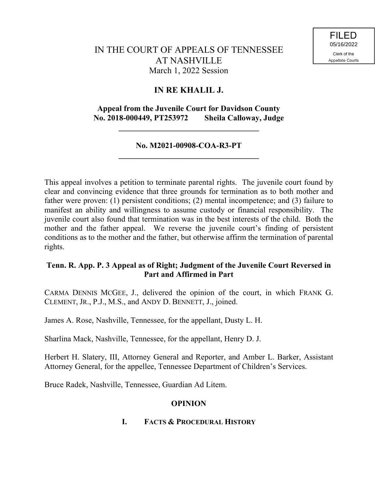# **IN RE KHALIL J.**

## **Appeal from the Juvenile Court for Davidson County No. 2018-000449, PT253972 Sheila Calloway, Judge**

**\_\_\_\_\_\_\_\_\_\_\_\_\_\_\_\_\_\_\_\_\_\_\_\_\_\_\_\_\_\_\_\_\_\_\_**

### **No. M2021-00908-COA-R3-PT \_\_\_\_\_\_\_\_\_\_\_\_\_\_\_\_\_\_\_\_\_\_\_\_\_\_\_\_\_\_\_\_\_\_\_**

This appeal involves a petition to terminate parental rights. The juvenile court found by clear and convincing evidence that three grounds for termination as to both mother and father were proven: (1) persistent conditions; (2) mental incompetence; and (3) failure to manifest an ability and willingness to assume custody or financial responsibility. The juvenile court also found that termination was in the best interests of the child. Both the mother and the father appeal. We reverse the juvenile court's finding of persistent conditions as to the mother and the father, but otherwise affirm the termination of parental rights.

## **Tenn. R. App. P. 3 Appeal as of Right; Judgment of the Juvenile Court Reversed in Part and Affirmed in Part**

CARMA DENNIS MCGEE, J., delivered the opinion of the court, in which FRANK G. CLEMENT, JR., P.J., M.S., and ANDY D. BENNETT, J., joined.

James A. Rose, Nashville, Tennessee, for the appellant, Dusty L. H.

Sharlina Mack, Nashville, Tennessee, for the appellant, Henry D. J.

Herbert H. Slatery, III, Attorney General and Reporter, and Amber L. Barker, Assistant Attorney General, for the appellee, Tennessee Department of Children's Services.

Bruce Radek, Nashville, Tennessee, Guardian Ad Litem.

## **OPINION**

## **I. FACTS & PROCEDURAL HISTORY**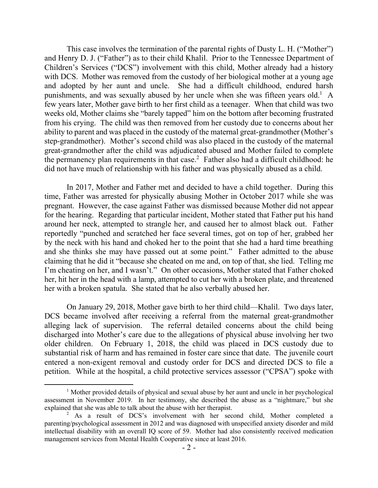This case involves the termination of the parental rights of Dusty L. H. ("Mother") and Henry D. J. ("Father") as to their child Khalil. Prior to the Tennessee Department of Children's Services ("DCS") involvement with this child, Mother already had a history with DCS. Mother was removed from the custody of her biological mother at a young age and adopted by her aunt and uncle. She had a difficult childhood, endured harsh punishments, and was sexually abused by her uncle when she was fifteen years old.<sup>1</sup> A few years later, Mother gave birth to her first child as a teenager. When that child was two weeks old, Mother claims she "barely tapped" him on the bottom after becoming frustrated from his crying. The child was then removed from her custody due to concerns about her ability to parent and was placed in the custody of the maternal great-grandmother (Mother's step-grandmother). Mother's second child was also placed in the custody of the maternal great-grandmother after the child was adjudicated abused and Mother failed to complete the permanency plan requirements in that case.<sup>2</sup> Father also had a difficult childhood: he did not have much of relationship with his father and was physically abused as a child.

In 2017, Mother and Father met and decided to have a child together. During this time, Father was arrested for physically abusing Mother in October 2017 while she was pregnant. However, the case against Father was dismissed because Mother did not appear for the hearing. Regarding that particular incident, Mother stated that Father put his hand around her neck, attempted to strangle her, and caused her to almost black out. Father reportedly "punched and scratched her face several times, got on top of her, grabbed her by the neck with his hand and choked her to the point that she had a hard time breathing and she thinks she may have passed out at some point." Father admitted to the abuse claiming that he did it "because she cheated on me and, on top of that, she lied. Telling me I'm cheating on her, and I wasn't." On other occasions, Mother stated that Father choked her, hit her in the head with a lamp, attempted to cut her with a broken plate, and threatened her with a broken spatula. She stated that he also verbally abused her.

On January 29, 2018, Mother gave birth to her third child—Khalil. Two days later, DCS became involved after receiving a referral from the maternal great-grandmother alleging lack of supervision. The referral detailed concerns about the child being discharged into Mother's care due to the allegations of physical abuse involving her two older children. On February 1, 2018, the child was placed in DCS custody due to substantial risk of harm and has remained in foster care since that date. The juvenile court entered a non-exigent removal and custody order for DCS and directed DCS to file a petition. While at the hospital, a child protective services assessor ("CPSA") spoke with

<sup>&</sup>lt;sup>1</sup> Mother provided details of physical and sexual abuse by her aunt and uncle in her psychological assessment in November 2019. In her testimony, she described the abuse as a "nightmare," but she explained that she was able to talk about the abuse with her therapist.

<sup>2</sup> As a result of DCS's involvement with her second child, Mother completed a parenting/psychological assessment in 2012 and was diagnosed with unspecified anxiety disorder and mild intellectual disability with an overall IQ score of 59. Mother had also consistently received medication management services from Mental Health Cooperative since at least 2016.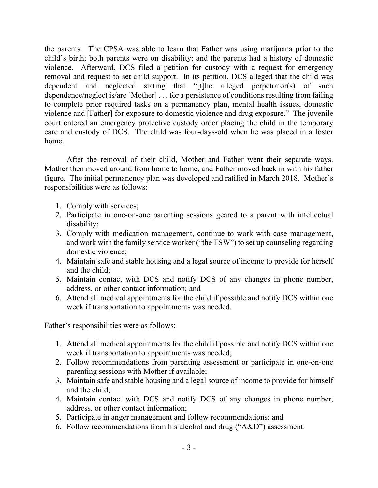the parents. The CPSA was able to learn that Father was using marijuana prior to the child's birth; both parents were on disability; and the parents had a history of domestic violence. Afterward, DCS filed a petition for custody with a request for emergency removal and request to set child support. In its petition, DCS alleged that the child was dependent and neglected stating that "[t]he alleged perpetrator(s) of such dependence/neglect is/are [Mother] . . . for a persistence of conditions resulting from failing to complete prior required tasks on a permanency plan, mental health issues, domestic violence and [Father] for exposure to domestic violence and drug exposure." The juvenile court entered an emergency protective custody order placing the child in the temporary care and custody of DCS. The child was four-days-old when he was placed in a foster home.

After the removal of their child, Mother and Father went their separate ways. Mother then moved around from home to home, and Father moved back in with his father figure. The initial permanency plan was developed and ratified in March 2018. Mother's responsibilities were as follows:

- 1. Comply with services;
- 2. Participate in one-on-one parenting sessions geared to a parent with intellectual disability;
- 3. Comply with medication management, continue to work with case management, and work with the family service worker ("the FSW") to set up counseling regarding domestic violence;
- 4. Maintain safe and stable housing and a legal source of income to provide for herself and the child;
- 5. Maintain contact with DCS and notify DCS of any changes in phone number, address, or other contact information; and
- 6. Attend all medical appointments for the child if possible and notify DCS within one week if transportation to appointments was needed.

Father's responsibilities were as follows:

- 1. Attend all medical appointments for the child if possible and notify DCS within one week if transportation to appointments was needed;
- 2. Follow recommendations from parenting assessment or participate in one-on-one parenting sessions with Mother if available;
- 3. Maintain safe and stable housing and a legal source of income to provide for himself and the child;
- 4. Maintain contact with DCS and notify DCS of any changes in phone number, address, or other contact information;
- 5. Participate in anger management and follow recommendations; and
- 6. Follow recommendations from his alcohol and drug ("A&D") assessment.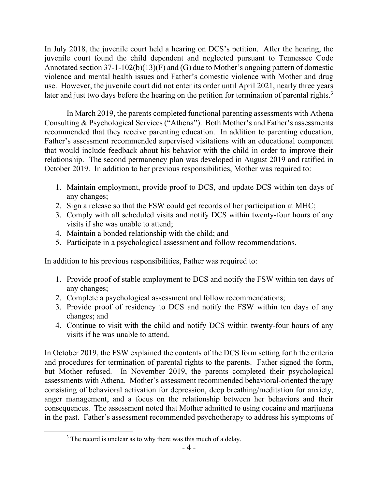In July 2018, the juvenile court held a hearing on DCS's petition. After the hearing, the juvenile court found the child dependent and neglected pursuant to Tennessee Code Annotated section 37-1-102(b)(13)(F) and (G) due to Mother's ongoing pattern of domestic violence and mental health issues and Father's domestic violence with Mother and drug use. However, the juvenile court did not enter its order until April 2021, nearly three years later and just two days before the hearing on the petition for termination of parental rights.<sup>3</sup>

In March 2019, the parents completed functional parenting assessments with Athena Consulting & Psychological Services ("Athena"). Both Mother's and Father's assessments recommended that they receive parenting education. In addition to parenting education, Father's assessment recommended supervised visitations with an educational component that would include feedback about his behavior with the child in order to improve their relationship. The second permanency plan was developed in August 2019 and ratified in October 2019. In addition to her previous responsibilities, Mother was required to:

- 1. Maintain employment, provide proof to DCS, and update DCS within ten days of any changes;
- 2. Sign a release so that the FSW could get records of her participation at MHC;
- 3. Comply with all scheduled visits and notify DCS within twenty-four hours of any visits if she was unable to attend;
- 4. Maintain a bonded relationship with the child; and
- 5. Participate in a psychological assessment and follow recommendations.

In addition to his previous responsibilities, Father was required to:

- 1. Provide proof of stable employment to DCS and notify the FSW within ten days of any changes;
- 2. Complete a psychological assessment and follow recommendations;
- 3. Provide proof of residency to DCS and notify the FSW within ten days of any changes; and
- 4. Continue to visit with the child and notify DCS within twenty-four hours of any visits if he was unable to attend.

In October 2019, the FSW explained the contents of the DCS form setting forth the criteria and procedures for termination of parental rights to the parents. Father signed the form, but Mother refused. In November 2019, the parents completed their psychological assessments with Athena. Mother's assessment recommended behavioral-oriented therapy consisting of behavioral activation for depression, deep breathing/meditation for anxiety, anger management, and a focus on the relationship between her behaviors and their consequences. The assessment noted that Mother admitted to using cocaine and marijuana in the past. Father's assessment recommended psychotherapy to address his symptoms of

 $\overline{a}$ 

<sup>&</sup>lt;sup>3</sup> The record is unclear as to why there was this much of a delay.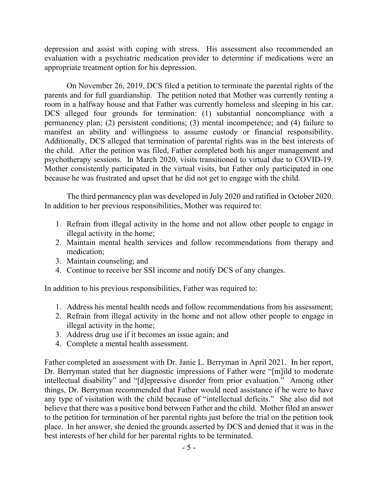depression and assist with coping with stress. His assessment also recommended an evaluation with a psychiatric medication provider to determine if medications were an appropriate treatment option for his depression.

On November 26, 2019, DCS filed a petition to terminate the parental rights of the parents and for full guardianship. The petition noted that Mother was currently renting a room in a halfway house and that Father was currently homeless and sleeping in his car. DCS alleged four grounds for termination: (1) substantial noncompliance with a permanency plan; (2) persistent conditions; (3) mental incompetence; and (4) failure to manifest an ability and willingness to assume custody or financial responsibility. Additionally, DCS alleged that termination of parental rights was in the best interests of the child. After the petition was filed, Father completed both his anger management and psychotherapy sessions. In March 2020, visits transitioned to virtual due to COVID-19. Mother consistently participated in the virtual visits, but Father only participated in one because he was frustrated and upset that he did not get to engage with the child.

The third permanency plan was developed in July 2020 and ratified in October 2020. In addition to her previous responsibilities, Mother was required to:

- 1. Refrain from illegal activity in the home and not allow other people to engage in illegal activity in the home;
- 2. Maintain mental health services and follow recommendations from therapy and medication;
- 3. Maintain counseling; and
- 4. Continue to receive her SSI income and notify DCS of any changes.

In addition to his previous responsibilities, Father was required to:

- 1. Address his mental health needs and follow recommendations from his assessment;
- 2. Refrain from illegal activity in the home and not allow other people to engage in illegal activity in the home;
- 3. Address drug use if it becomes an issue again; and
- 4. Complete a mental health assessment.

Father completed an assessment with Dr. Janie L. Berryman in April 2021. In her report, Dr. Berryman stated that her diagnostic impressions of Father were "[m]ild to moderate intellectual disability" and "[d]epressive disorder from prior evaluation." Among other things, Dr. Berryman recommended that Father would need assistance if he were to have any type of visitation with the child because of "intellectual deficits." She also did not believe that there was a positive bond between Father and the child. Mother filed an answer to the petition for termination of her parental rights just before the trial on the petition took place. In her answer, she denied the grounds asserted by DCS and denied that it was in the best interests of her child for her parental rights to be terminated.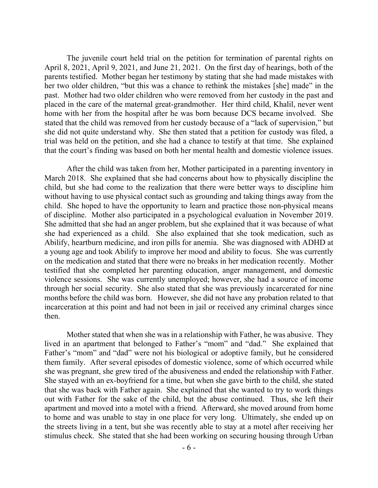The juvenile court held trial on the petition for termination of parental rights on April 8, 2021, April 9, 2021, and June 21, 2021. On the first day of hearings, both of the parents testified. Mother began her testimony by stating that she had made mistakes with her two older children, "but this was a chance to rethink the mistakes [she] made" in the past. Mother had two older children who were removed from her custody in the past and placed in the care of the maternal great-grandmother. Her third child, Khalil, never went home with her from the hospital after he was born because DCS became involved. She stated that the child was removed from her custody because of a "lack of supervision," but she did not quite understand why. She then stated that a petition for custody was filed, a trial was held on the petition, and she had a chance to testify at that time. She explained that the court's finding was based on both her mental health and domestic violence issues.

After the child was taken from her, Mother participated in a parenting inventory in March 2018. She explained that she had concerns about how to physically discipline the child, but she had come to the realization that there were better ways to discipline him without having to use physical contact such as grounding and taking things away from the child. She hoped to have the opportunity to learn and practice those non-physical means of discipline. Mother also participated in a psychological evaluation in November 2019. She admitted that she had an anger problem, but she explained that it was because of what she had experienced as a child. She also explained that she took medication, such as Abilify, heartburn medicine, and iron pills for anemia. She was diagnosed with ADHD at a young age and took Abilify to improve her mood and ability to focus. She was currently on the medication and stated that there were no breaks in her medication recently. Mother testified that she completed her parenting education, anger management, and domestic violence sessions. She was currently unemployed; however, she had a source of income through her social security. She also stated that she was previously incarcerated for nine months before the child was born. However, she did not have any probation related to that incarceration at this point and had not been in jail or received any criminal charges since then.

Mother stated that when she was in a relationship with Father, he was abusive. They lived in an apartment that belonged to Father's "mom" and "dad." She explained that Father's "mom" and "dad" were not his biological or adoptive family, but he considered them family. After several episodes of domestic violence, some of which occurred while she was pregnant, she grew tired of the abusiveness and ended the relationship with Father. She stayed with an ex-boyfriend for a time, but when she gave birth to the child, she stated that she was back with Father again. She explained that she wanted to try to work things out with Father for the sake of the child, but the abuse continued. Thus, she left their apartment and moved into a motel with a friend. Afterward, she moved around from home to home and was unable to stay in one place for very long. Ultimately, she ended up on the streets living in a tent, but she was recently able to stay at a motel after receiving her stimulus check. She stated that she had been working on securing housing through Urban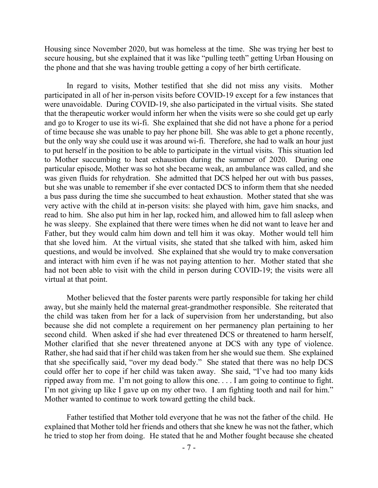Housing since November 2020, but was homeless at the time. She was trying her best to secure housing, but she explained that it was like "pulling teeth" getting Urban Housing on the phone and that she was having trouble getting a copy of her birth certificate.

In regard to visits, Mother testified that she did not miss any visits. Mother participated in all of her in-person visits before COVID-19 except for a few instances that were unavoidable. During COVID-19, she also participated in the virtual visits. She stated that the therapeutic worker would inform her when the visits were so she could get up early and go to Kroger to use its wi-fi. She explained that she did not have a phone for a period of time because she was unable to pay her phone bill. She was able to get a phone recently, but the only way she could use it was around wi-fi. Therefore, she had to walk an hour just to put herself in the position to be able to participate in the virtual visits.This situation led to Mother succumbing to heat exhaustion during the summer of 2020. During one particular episode, Mother was so hot she became weak, an ambulance was called, and she was given fluids for rehydration. She admitted that DCS helped her out with bus passes, but she was unable to remember if she ever contacted DCS to inform them that she needed a bus pass during the time she succumbed to heat exhaustion. Mother stated that she was very active with the child at in-person visits: she played with him, gave him snacks, and read to him. She also put him in her lap, rocked him, and allowed him to fall asleep when he was sleepy. She explained that there were times when he did not want to leave her and Father, but they would calm him down and tell him it was okay. Mother would tell him that she loved him. At the virtual visits, she stated that she talked with him, asked him questions, and would be involved. She explained that she would try to make conversation and interact with him even if he was not paying attention to her. Mother stated that she had not been able to visit with the child in person during COVID-19; the visits were all virtual at that point.

Mother believed that the foster parents were partly responsible for taking her child away, but she mainly held the maternal great-grandmother responsible. She reiterated that the child was taken from her for a lack of supervision from her understanding, but also because she did not complete a requirement on her permanency plan pertaining to her second child. When asked if she had ever threatened DCS or threatened to harm herself, Mother clarified that she never threatened anyone at DCS with any type of violence. Rather, she had said that if her child was taken from her she would sue them. She explained that she specifically said, "over my dead body." She stated that there was no help DCS could offer her to cope if her child was taken away. She said, "I've had too many kids ripped away from me. I'm not going to allow this one. . . . I am going to continue to fight. I'm not giving up like I gave up on my other two. I am fighting tooth and nail for him." Mother wanted to continue to work toward getting the child back.

Father testified that Mother told everyone that he was not the father of the child. He explained that Mother told her friends and others that she knew he was not the father, which he tried to stop her from doing. He stated that he and Mother fought because she cheated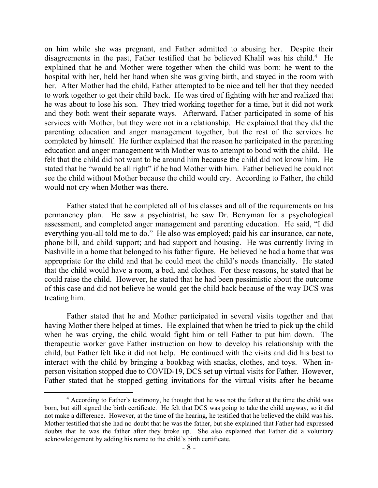on him while she was pregnant, and Father admitted to abusing her. Despite their disagreements in the past, Father testified that he believed Khalil was his child.<sup>4</sup> He explained that he and Mother were together when the child was born: he went to the hospital with her, held her hand when she was giving birth, and stayed in the room with her. After Mother had the child, Father attempted to be nice and tell her that they needed to work together to get their child back. He was tired of fighting with her and realized that he was about to lose his son. They tried working together for a time, but it did not work and they both went their separate ways. Afterward, Father participated in some of his services with Mother, but they were not in a relationship. He explained that they did the parenting education and anger management together, but the rest of the services he completed by himself. He further explained that the reason he participated in the parenting education and anger management with Mother was to attempt to bond with the child. He felt that the child did not want to be around him because the child did not know him. He stated that he "would be all right" if he had Mother with him. Father believed he could not see the child without Mother because the child would cry. According to Father, the child would not cry when Mother was there.

Father stated that he completed all of his classes and all of the requirements on his permanency plan. He saw a psychiatrist, he saw Dr. Berryman for a psychological assessment, and completed anger management and parenting education. He said, "I did everything you-all told me to do." He also was employed; paid his car insurance, car note, phone bill, and child support; and had support and housing. He was currently living in Nashville in a home that belonged to his father figure. He believed he had a home that was appropriate for the child and that he could meet the child's needs financially. He stated that the child would have a room, a bed, and clothes. For these reasons, he stated that he could raise the child. However, he stated that he had been pessimistic about the outcome of this case and did not believe he would get the child back because of the way DCS was treating him.

Father stated that he and Mother participated in several visits together and that having Mother there helped at times. He explained that when he tried to pick up the child when he was crying, the child would fight him or tell Father to put him down. The therapeutic worker gave Father instruction on how to develop his relationship with the child, but Father felt like it did not help. He continued with the visits and did his best to interact with the child by bringing a bookbag with snacks, clothes, and toys. When inperson visitation stopped due to COVID-19, DCS set up virtual visits for Father. However, Father stated that he stopped getting invitations for the virtual visits after he became

 $\overline{a}$ 

<sup>&</sup>lt;sup>4</sup> According to Father's testimony, he thought that he was not the father at the time the child was born, but still signed the birth certificate. He felt that DCS was going to take the child anyway, so it did not make a difference. However, at the time of the hearing, he testified that he believed the child was his. Mother testified that she had no doubt that he was the father, but she explained that Father had expressed doubts that he was the father after they broke up. She also explained that Father did a voluntary acknowledgement by adding his name to the child's birth certificate.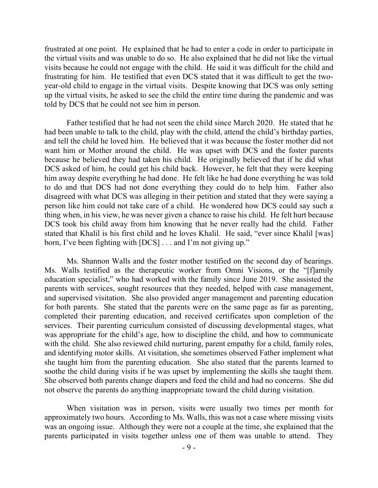frustrated at one point. He explained that he had to enter a code in order to participate in the virtual visits and was unable to do so. He also explained that he did not like the virtual visits because he could not engage with the child. He said it was difficult for the child and frustrating for him. He testified that even DCS stated that it was difficult to get the twoyear-old child to engage in the virtual visits. Despite knowing that DCS was only setting up the virtual visits, he asked to see the child the entire time during the pandemic and was told by DCS that he could not see him in person.

Father testified that he had not seen the child since March 2020. He stated that he had been unable to talk to the child, play with the child, attend the child's birthday parties, and tell the child he loved him. He believed that it was because the foster mother did not want him or Mother around the child. He was upset with DCS and the foster parents because he believed they had taken his child. He originally believed that if he did what DCS asked of him, he could get his child back. However, he felt that they were keeping him away despite everything he had done. He felt like he had done everything he was told to do and that DCS had not done everything they could do to help him. Father also disagreed with what DCS was alleging in their petition and stated that they were saying a person like him could not take care of a child. He wondered how DCS could say such a thing when, in his view, he was never given a chance to raise his child. He felt hurt because DCS took his child away from him knowing that he never really had the child. Father stated that Khalil is his first child and he loves Khalil. He said, "ever since Khalil [was] born, I've been fighting with [DCS] . . . and I'm not giving up."

Ms. Shannon Walls and the foster mother testified on the second day of hearings. Ms. Walls testified as the therapeutic worker from Omni Visions, or the "[f]amily education specialist," who had worked with the family since June 2019. She assisted the parents with services, sought resources that they needed, helped with case management, and supervised visitation. She also provided anger management and parenting education for both parents. She stated that the parents were on the same page as far as parenting, completed their parenting education, and received certificates upon completion of the services. Their parenting curriculum consisted of discussing developmental stages, what was appropriate for the child's age, how to discipline the child, and how to communicate with the child. She also reviewed child nurturing, parent empathy for a child, family roles, and identifying motor skills. At visitation, she sometimes observed Father implement what she taught him from the parenting education. She also stated that the parents learned to soothe the child during visits if he was upset by implementing the skills she taught them. She observed both parents change diapers and feed the child and had no concerns. She did not observe the parents do anything inappropriate toward the child during visitation.

When visitation was in person, visits were usually two times per month for approximately two hours. According to Ms. Walls, this was not a case where missing visits was an ongoing issue. Although they were not a couple at the time, she explained that the parents participated in visits together unless one of them was unable to attend. They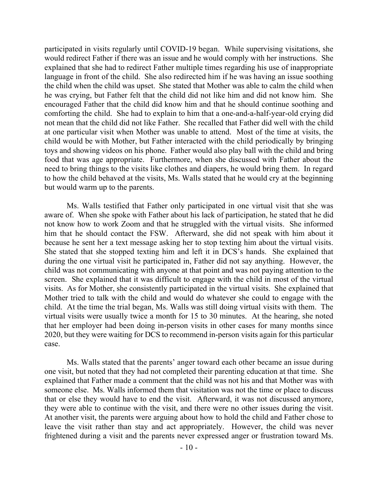participated in visits regularly until COVID-19 began. While supervising visitations, she would redirect Father if there was an issue and he would comply with her instructions. She explained that she had to redirect Father multiple times regarding his use of inappropriate language in front of the child. She also redirected him if he was having an issue soothing the child when the child was upset. She stated that Mother was able to calm the child when he was crying, but Father felt that the child did not like him and did not know him. She encouraged Father that the child did know him and that he should continue soothing and comforting the child. She had to explain to him that a one-and-a-half-year-old crying did not mean that the child did not like Father. She recalled that Father did well with the child at one particular visit when Mother was unable to attend. Most of the time at visits, the child would be with Mother, but Father interacted with the child periodically by bringing toys and showing videos on his phone. Father would also play ball with the child and bring food that was age appropriate. Furthermore, when she discussed with Father about the need to bring things to the visits like clothes and diapers, he would bring them. In regard to how the child behaved at the visits, Ms. Walls stated that he would cry at the beginning but would warm up to the parents.

Ms. Walls testified that Father only participated in one virtual visit that she was aware of. When she spoke with Father about his lack of participation, he stated that he did not know how to work Zoom and that he struggled with the virtual visits. She informed him that he should contact the FSW. Afterward, she did not speak with him about it because he sent her a text message asking her to stop texting him about the virtual visits. She stated that she stopped texting him and left it in DCS's hands. She explained that during the one virtual visit he participated in, Father did not say anything. However, the child was not communicating with anyone at that point and was not paying attention to the screen. She explained that it was difficult to engage with the child in most of the virtual visits. As for Mother, she consistently participated in the virtual visits. She explained that Mother tried to talk with the child and would do whatever she could to engage with the child. At the time the trial began, Ms. Walls was still doing virtual visits with them. The virtual visits were usually twice a month for 15 to 30 minutes. At the hearing, she noted that her employer had been doing in-person visits in other cases for many months since 2020, but they were waiting for DCS to recommend in-person visits again for this particular case.

Ms. Walls stated that the parents' anger toward each other became an issue during one visit, but noted that they had not completed their parenting education at that time. She explained that Father made a comment that the child was not his and that Mother was with someone else. Ms. Walls informed them that visitation was not the time or place to discuss that or else they would have to end the visit. Afterward, it was not discussed anymore, they were able to continue with the visit, and there were no other issues during the visit. At another visit, the parents were arguing about how to hold the child and Father chose to leave the visit rather than stay and act appropriately. However, the child was never frightened during a visit and the parents never expressed anger or frustration toward Ms.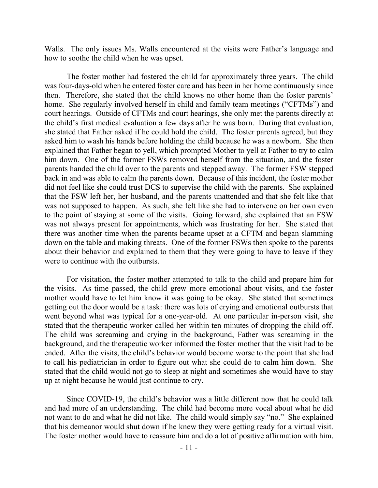Walls. The only issues Ms. Walls encountered at the visits were Father's language and how to soothe the child when he was upset.

The foster mother had fostered the child for approximately three years. The child was four-days-old when he entered foster care and has been in her home continuously since then. Therefore, she stated that the child knows no other home than the foster parents' home. She regularly involved herself in child and family team meetings ("CFTMs") and court hearings. Outside of CFTMs and court hearings, she only met the parents directly at the child's first medical evaluation a few days after he was born. During that evaluation, she stated that Father asked if he could hold the child. The foster parents agreed, but they asked him to wash his hands before holding the child because he was a newborn. She then explained that Father began to yell, which prompted Mother to yell at Father to try to calm him down. One of the former FSWs removed herself from the situation, and the foster parents handed the child over to the parents and stepped away. The former FSW stepped back in and was able to calm the parents down. Because of this incident, the foster mother did not feel like she could trust DCS to supervise the child with the parents. She explained that the FSW left her, her husband, and the parents unattended and that she felt like that was not supposed to happen. As such, she felt like she had to intervene on her own even to the point of staying at some of the visits. Going forward, she explained that an FSW was not always present for appointments, which was frustrating for her. She stated that there was another time when the parents became upset at a CFTM and began slamming down on the table and making threats. One of the former FSWs then spoke to the parents about their behavior and explained to them that they were going to have to leave if they were to continue with the outbursts.

For visitation, the foster mother attempted to talk to the child and prepare him for the visits. As time passed, the child grew more emotional about visits, and the foster mother would have to let him know it was going to be okay. She stated that sometimes getting out the door would be a task: there was lots of crying and emotional outbursts that went beyond what was typical for a one-year-old. At one particular in-person visit, she stated that the therapeutic worker called her within ten minutes of dropping the child off. The child was screaming and crying in the background, Father was screaming in the background, and the therapeutic worker informed the foster mother that the visit had to be ended. After the visits, the child's behavior would become worse to the point that she had to call his pediatrician in order to figure out what she could do to calm him down. She stated that the child would not go to sleep at night and sometimes she would have to stay up at night because he would just continue to cry.

Since COVID-19, the child's behavior was a little different now that he could talk and had more of an understanding. The child had become more vocal about what he did not want to do and what he did not like. The child would simply say "no." She explained that his demeanor would shut down if he knew they were getting ready for a virtual visit. The foster mother would have to reassure him and do a lot of positive affirmation with him.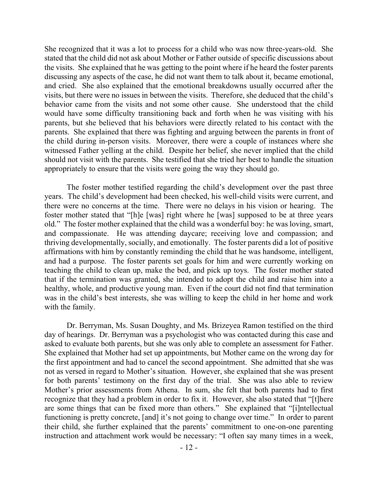She recognized that it was a lot to process for a child who was now three-years-old. She stated that the child did not ask about Mother or Father outside of specific discussions about the visits. She explained that he was getting to the point where if he heard the foster parents discussing any aspects of the case, he did not want them to talk about it, became emotional, and cried. She also explained that the emotional breakdowns usually occurred after the visits, but there were no issues in between the visits. Therefore, she deduced that the child's behavior came from the visits and not some other cause. She understood that the child would have some difficulty transitioning back and forth when he was visiting with his parents, but she believed that his behaviors were directly related to his contact with the parents. She explained that there was fighting and arguing between the parents in front of the child during in-person visits. Moreover, there were a couple of instances where she witnessed Father yelling at the child. Despite her belief, she never implied that the child should not visit with the parents. She testified that she tried her best to handle the situation appropriately to ensure that the visits were going the way they should go.

The foster mother testified regarding the child's development over the past three years. The child's development had been checked, his well-child visits were current, and there were no concerns at the time. There were no delays in his vision or hearing. The foster mother stated that "[h]e [was] right where he [was] supposed to be at three years old." The foster mother explained that the child was a wonderful boy: he was loving, smart, and compassionate. He was attending daycare; receiving love and compassion; and thriving developmentally, socially, and emotionally. The foster parents did a lot of positive affirmations with him by constantly reminding the child that he was handsome, intelligent, and had a purpose. The foster parents set goals for him and were currently working on teaching the child to clean up, make the bed, and pick up toys. The foster mother stated that if the termination was granted, she intended to adopt the child and raise him into a healthy, whole, and productive young man. Even if the court did not find that termination was in the child's best interests, she was willing to keep the child in her home and work with the family.

Dr. Berryman, Ms. Susan Doughty, and Ms. Brizeyea Ramon testified on the third day of hearings. Dr. Berryman was a psychologist who was contacted during this case and asked to evaluate both parents, but she was only able to complete an assessment for Father. She explained that Mother had set up appointments, but Mother came on the wrong day for the first appointment and had to cancel the second appointment. She admitted that she was not as versed in regard to Mother's situation. However, she explained that she was present for both parents' testimony on the first day of the trial. She was also able to review Mother's prior assessments from Athena. In sum, she felt that both parents had to first recognize that they had a problem in order to fix it. However, she also stated that "[t]here are some things that can be fixed more than others." She explained that "[i]ntellectual functioning is pretty concrete, [and] it's not going to change over time." In order to parent their child, she further explained that the parents' commitment to one-on-one parenting instruction and attachment work would be necessary: "I often say many times in a week,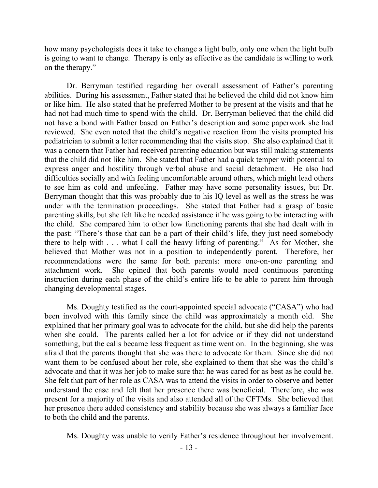how many psychologists does it take to change a light bulb, only one when the light bulb is going to want to change. Therapy is only as effective as the candidate is willing to work on the therapy."

Dr. Berryman testified regarding her overall assessment of Father's parenting abilities. During his assessment, Father stated that he believed the child did not know him or like him. He also stated that he preferred Mother to be present at the visits and that he had not had much time to spend with the child. Dr. Berryman believed that the child did not have a bond with Father based on Father's description and some paperwork she had reviewed. She even noted that the child's negative reaction from the visits prompted his pediatrician to submit a letter recommending that the visits stop. She also explained that it was a concern that Father had received parenting education but was still making statements that the child did not like him. She stated that Father had a quick temper with potential to express anger and hostility through verbal abuse and social detachment. He also had difficulties socially and with feeling uncomfortable around others, which might lead others to see him as cold and unfeeling. Father may have some personality issues, but Dr. Berryman thought that this was probably due to his IQ level as well as the stress he was under with the termination proceedings. She stated that Father had a grasp of basic parenting skills, but she felt like he needed assistance if he was going to be interacting with the child. She compared him to other low functioning parents that she had dealt with in the past: "There's those that can be a part of their child's life, they just need somebody there to help with . . . what I call the heavy lifting of parenting." As for Mother, she believed that Mother was not in a position to independently parent. Therefore, her recommendations were the same for both parents: more one-on-one parenting and attachment work. She opined that both parents would need continuous parenting instruction during each phase of the child's entire life to be able to parent him through changing developmental stages.

Ms. Doughty testified as the court-appointed special advocate ("CASA") who had been involved with this family since the child was approximately a month old. She explained that her primary goal was to advocate for the child, but she did help the parents when she could. The parents called her a lot for advice or if they did not understand something, but the calls became less frequent as time went on. In the beginning, she was afraid that the parents thought that she was there to advocate for them. Since she did not want them to be confused about her role, she explained to them that she was the child's advocate and that it was her job to make sure that he was cared for as best as he could be. She felt that part of her role as CASA was to attend the visits in order to observe and better understand the case and felt that her presence there was beneficial. Therefore, she was present for a majority of the visits and also attended all of the CFTMs. She believed that her presence there added consistency and stability because she was always a familiar face to both the child and the parents.

Ms. Doughty was unable to verify Father's residence throughout her involvement.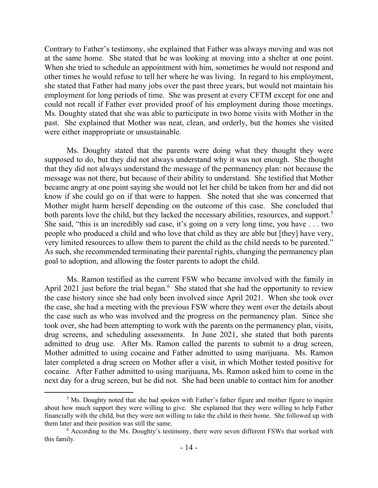Contrary to Father's testimony, she explained that Father was always moving and was not at the same home. She stated that he was looking at moving into a shelter at one point. When she tried to schedule an appointment with him, sometimes he would not respond and other times he would refuse to tell her where he was living. In regard to his employment, she stated that Father had many jobs over the past three years, but would not maintain his employment for long periods of time. She was present at every CFTM except for one and could not recall if Father ever provided proof of his employment during those meetings. Ms. Doughty stated that she was able to participate in two home visits with Mother in the past. She explained that Mother was neat, clean, and orderly, but the homes she visited were either inappropriate or unsustainable.

Ms. Doughty stated that the parents were doing what they thought they were supposed to do, but they did not always understand why it was not enough. She thought that they did not always understand the message of the permanency plan: not because the message was not there, but because of their ability to understand. She testified that Mother became angry at one point saying she would not let her child be taken from her and did not know if she could go on if that were to happen. She noted that she was concerned that Mother might harm herself depending on the outcome of this case. She concluded that both parents love the child, but they lacked the necessary abilities, resources, and support.<sup>5</sup> She said, "this is an incredibly sad case, it's going on a very long time, you have . . . two people who produced a child and who love that child as they are able but [they] have very, very limited resources to allow them to parent the child as the child needs to be parented." As such, she recommended terminating their parental rights, changing the permanency plan goal to adoption, and allowing the foster parents to adopt the child.

Ms. Ramon testified as the current FSW who became involved with the family in April 2021 just before the trial began. $6$  She stated that she had the opportunity to review the case history since she had only been involved since April 2021. When she took over the case, she had a meeting with the previous FSW where they went over the details about the case such as who was involved and the progress on the permanency plan. Since she took over, she had been attempting to work with the parents on the permanency plan, visits, drug screens, and scheduling assessments. In June 2021, she stated that both parents admitted to drug use. After Ms. Ramon called the parents to submit to a drug screen, Mother admitted to using cocaine and Father admitted to using marijuana. Ms. Ramon later completed a drug screen on Mother after a visit, in which Mother tested positive for cocaine. After Father admitted to using marijuana, Ms. Ramon asked him to come in the next day for a drug screen, but he did not. She had been unable to contact him for another

 $\overline{a}$ 

 $<sup>5</sup>$  Ms. Doughty noted that she had spoken with Father's father figure and mother figure to inquire</sup> about how much support they were willing to give. She explained that they were willing to help Father financially with the child, but they were not willing to take the child in their home. She followed up with them later and their position was still the same.

<sup>6</sup> According to the Ms. Doughty's testimony, there were seven different FSWs that worked with this family.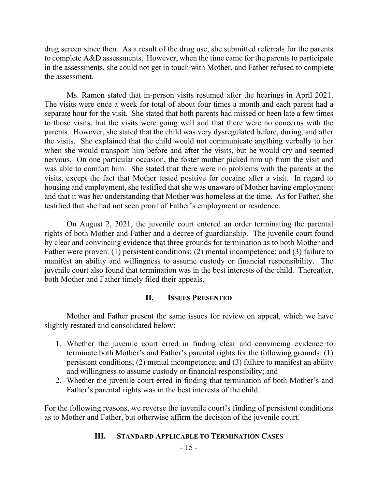drug screen since then. As a result of the drug use, she submitted referrals for the parents to complete A&D assessments. However, when the time came for the parents to participate in the assessments, she could not get in touch with Mother, and Father refused to complete the assessment.

Ms. Ramon stated that in-person visits resumed after the hearings in April 2021. The visits were once a week for total of about four times a month and each parent had a separate hour for the visit. She stated that both parents had missed or been late a few times to those visits, but the visits were going well and that there were no concerns with the parents. However, she stated that the child was very dysregulated before, during, and after the visits. She explained that the child would not communicate anything verbally to her when she would transport him before and after the visits, but he would cry and seemed nervous. On one particular occasion, the foster mother picked him up from the visit and was able to comfort him. She stated that there were no problems with the parents at the visits, except the fact that Mother tested positive for cocaine after a visit. In regard to housing and employment, she testified that she was unaware of Mother having employment and that it was her understanding that Mother was homeless at the time. As for Father, she testified that she had not seen proof of Father's employment or residence.

On August 2, 2021, the juvenile court entered an order terminating the parental rights of both Mother and Father and a decree of guardianship. The juvenile court found by clear and convincing evidence that three grounds for termination as to both Mother and Father were proven: (1) persistent conditions; (2) mental incompetence; and (3) failure to manifest an ability and willingness to assume custody or financial responsibility. The juvenile court also found that termination was in the best interests of the child. Thereafter, both Mother and Father timely filed their appeals.

### **II. ISSUES PRESENTED**

Mother and Father present the same issues for review on appeal, which we have slightly restated and consolidated below:

- 1. Whether the juvenile court erred in finding clear and convincing evidence to terminate both Mother's and Father's parental rights for the following grounds: (1) persistent conditions; (2) mental incompetence; and (3) failure to manifest an ability and willingness to assume custody or financial responsibility; and
- 2. Whether the juvenile court erred in finding that termination of both Mother's and Father's parental rights was in the best interests of the child.

For the following reasons, we reverse the juvenile court's finding of persistent conditions as to Mother and Father, but otherwise affirm the decision of the juvenile court.

### **III. STANDARD APPLICABLE TO TERMINATION CASES**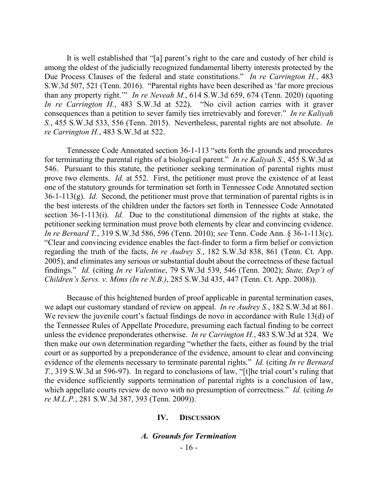It is well established that "[a] parent's right to the care and custody of her child is among the oldest of the judicially recognized fundamental liberty interests protected by the Due Process Clauses of the federal and state constitutions." *In re Carrington H.*, 483 S.W.3d 507, 521 (Tenn. 2016). "Parental rights have been described as 'far more precious than any property right.'" *In re Neveah M.*, 614 S.W.3d 659, 674 (Tenn. 2020) (quoting *In re Carrington H.*, 483 S.W.3d at 522). "No civil action carries with it graver consequences than a petition to sever family ties irretrievably and forever." *In re Kaliyah S.*, 455 S.W.3d 533, 556 (Tenn. 2015). Nevertheless, parental rights are not absolute. *In re Carrington H.*, 483 S.W.3d at 522.

Tennessee Code Annotated section 36-1-113 "sets forth the grounds and procedures for terminating the parental rights of a biological parent." *In re Kaliyah S.*, 455 S.W.3d at 546. Pursuant to this statute, the petitioner seeking termination of parental rights must prove two elements. *Id.* at 552. First, the petitioner must prove the existence of at least one of the statutory grounds for termination set forth in Tennessee Code Annotated section 36-1-113(g). *Id.* Second, the petitioner must prove that termination of parental rights is in the best interests of the children under the factors set forth in Tennessee Code Annotated section 36-1-113(i). *Id.* Due to the constitutional dimension of the rights at stake, the petitioner seeking termination must prove both elements by clear and convincing evidence. *In re Bernard T.*, 319 S.W.3d 586, 596 (Tenn. 2010); *see* Tenn. Code Ann. § 36-1-113(c). "Clear and convincing evidence enables the fact-finder to form a firm belief or conviction regarding the truth of the facts, *In re Audrey S.*, 182 S.W.3d 838, 861 (Tenn. Ct. App. 2005), and eliminates any serious or substantial doubt about the correctness of these factual findings." *Id.* (citing *In re Valentine*, 79 S.W.3d 539, 546 (Tenn. 2002); *State, Dep't of Children's Servs. v. Mims (In re N.B.)*, 285 S.W.3d 435, 447 (Tenn. Ct. App. 2008)).

Because of this heightened burden of proof applicable in parental termination cases, we adapt our customary standard of review on appeal. *In re Audrey S.*, 182 S.W.3d at 861. We review the juvenile court's factual findings de novo in accordance with Rule 13(d) of the Tennessee Rules of Appellate Procedure, presuming each factual finding to be correct unless the evidence preponderates otherwise. *In re Carrington H.*, 483 S.W.3d at 524. We then make our own determination regarding "whether the facts, either as found by the trial court or as supported by a preponderance of the evidence, amount to clear and convincing evidence of the elements necessary to terminate parental rights." *Id.* (citing *In re Bernard T.*, 319 S.W.3d at 596-97). In regard to conclusions of law, "[t]he trial court's ruling that the evidence sufficiently supports termination of parental rights is a conclusion of law, which appellate courts review de novo with no presumption of correctness." *Id.* (citing *In re M.L.P.*, 281 S.W.3d 387, 393 (Tenn. 2009)).

#### **IV. DISCUSSION**

#### *A. Grounds for Termination*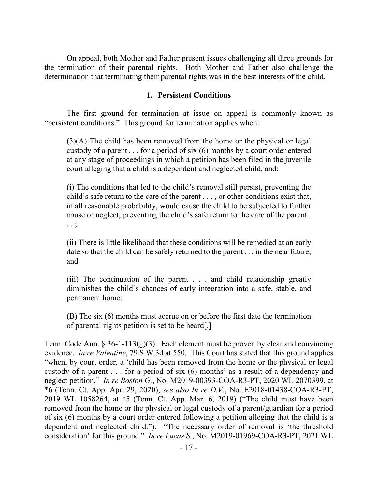On appeal, both Mother and Father present issues challenging all three grounds for the termination of their parental rights. Both Mother and Father also challenge the determination that terminating their parental rights was in the best interests of the child.

### **1. Persistent Conditions**

The first ground for termination at issue on appeal is commonly known as "persistent conditions." This ground for termination applies when:

(3)(A) The child has been removed from the home or the physical or legal custody of a parent  $\dots$  for a period of six (6) months by a court order entered at any stage of proceedings in which a petition has been filed in the juvenile court alleging that a child is a dependent and neglected child, and:

(i) The conditions that led to the child's removal still persist, preventing the child's safe return to the care of the parent . . . , or other conditions exist that, in all reasonable probability, would cause the child to be subjected to further abuse or neglect, preventing the child's safe return to the care of the parent . . . ;

(ii) There is little likelihood that these conditions will be remedied at an early date so that the child can be safely returned to the parent . . . in the near future; and

(iii) The continuation of the parent . . . and child relationship greatly diminishes the child's chances of early integration into a safe, stable, and permanent home;

(B) The six (6) months must accrue on or before the first date the termination of parental rights petition is set to be heard[.]

Tenn. Code Ann. § 36-1-113(g)(3). Each element must be proven by clear and convincing evidence. *In re Valentine*, 79 S.W.3d at 550. This Court has stated that this ground applies "when, by court order, a 'child has been removed from the home or the physical or legal custody of a parent . . . for a period of six (6) months' as a result of a dependency and neglect petition." *In re Boston G.*, No. M2019-00393-COA-R3-PT, 2020 WL 2070399, at \*6 (Tenn. Ct. App. Apr. 29, 2020); *see also In re D.V.*, No. E2018-01438-COA-R3-PT, 2019 WL 1058264, at \*5 (Tenn. Ct. App. Mar. 6, 2019) ("The child must have been removed from the home or the physical or legal custody of a parent/guardian for a period of six (6) months by a court order entered following a petition alleging that the child is a dependent and neglected child."). "The necessary order of removal is 'the threshold consideration' for this ground." *In re Lucas S.*, No. M2019-01969-COA-R3-PT, 2021 WL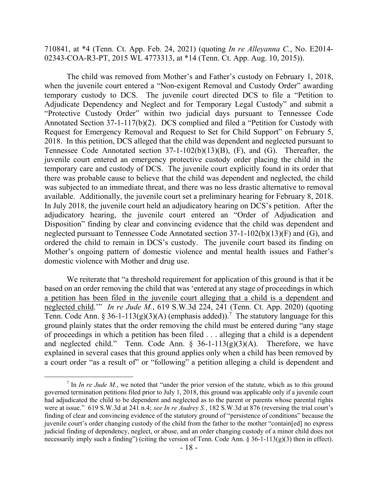710841, at \*4 (Tenn. Ct. App. Feb. 24, 2021) (quoting *In re Alleyanna C.*, No. E2014- 02343-COA-R3-PT, 2015 WL 4773313, at \*14 (Tenn. Ct. App. Aug. 10, 2015)).

The child was removed from Mother's and Father's custody on February 1, 2018, when the juvenile court entered a "Non-exigent Removal and Custody Order" awarding temporary custody to DCS. The juvenile court directed DCS to file a "Petition to Adjudicate Dependency and Neglect and for Temporary Legal Custody" and submit a "Protective Custody Order" within two judicial days pursuant to Tennessee Code Annotated Section 37-1-117(b)(2). DCS complied and filed a "Petition for Custody with Request for Emergency Removal and Request to Set for Child Support" on February 5, 2018. In this petition, DCS alleged that the child was dependent and neglected pursuant to Tennessee Code Annotated section 37-1-102(b)(13)(B), (F), and (G). Thereafter, the juvenile court entered an emergency protective custody order placing the child in the temporary care and custody of DCS. The juvenile court explicitly found in its order that there was probable cause to believe that the child was dependent and neglected, the child was subjected to an immediate threat, and there was no less drastic alternative to removal available. Additionally, the juvenile court set a preliminary hearing for February 8, 2018. In July 2018, the juvenile court held an adjudicatory hearing on DCS's petition. After the adjudicatory hearing, the juvenile court entered an "Order of Adjudication and Disposition" finding by clear and convincing evidence that the child was dependent and neglected pursuant to Tennessee Code Annotated section 37-1-102(b)(13)(F) and (G), and ordered the child to remain in DCS's custody. The juvenile court based its finding on Mother's ongoing pattern of domestic violence and mental health issues and Father's domestic violence with Mother and drug use.

We reiterate that "a threshold requirement for application of this ground is that it be based on an order removing the child that was 'entered at any stage of proceedings in which a petition has been filed in the juvenile court alleging that a child is a dependent and neglected child.'" *In re Jude M.*, 619 S.W.3d 224, 241 (Tenn. Ct. App. 2020) (quoting Tenn. Code Ann. § 36-1-113(g)(3)(A) (emphasis added)).<sup>7</sup> The statutory language for this ground plainly states that the order removing the child must be entered during "any stage of proceedings in which a petition has been filed . . . alleging that a child is a dependent and neglected child." Tenn. Code Ann.  $\S$  36-1-113(g)(3)(A). Therefore, we have explained in several cases that this ground applies only when a child has been removed by a court order "as a result of" or "following" a petition alleging a child is dependent and

 $\overline{a}$ 

 $<sup>7</sup>$  In *In re Jude M*., we noted that "under the prior version of the statute, which as to this ground</sup> governed termination petitions filed prior to July 1, 2018, this ground was applicable only if a juvenile court had adjudicated the child to be dependent and neglected as to the parent or parents whose parental rights were at issue." 619 S.W.3d at 241 n.4; *see In re Audrey S.*, 182 S.W.3d at 876 (reversing the trial court's finding of clear and convincing evidence of the statutory ground of "persistence of conditions" because the juvenile court's order changing custody of the child from the father to the mother "contain[ed] no express judicial finding of dependency, neglect, or abuse, and an order changing custody of a minor child does not necessarily imply such a finding") (citing the version of Tenn. Code Ann.  $\S 36-1-113(g)(3)$  then in effect).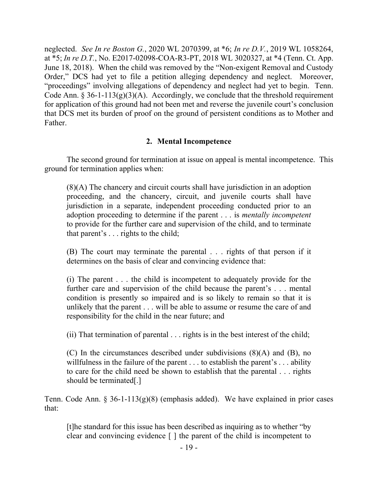neglected. *See In re Boston G.*, 2020 WL 2070399, at \*6; *In re D.V.*, 2019 WL 1058264, at \*5; *In re D.T.*, No. E2017-02098-COA-R3-PT, 2018 WL 3020327, at \*4 (Tenn. Ct. App. June 18, 2018). When the child was removed by the "Non-exigent Removal and Custody Order," DCS had yet to file a petition alleging dependency and neglect. Moreover, "proceedings" involving allegations of dependency and neglect had yet to begin. Tenn. Code Ann.  $\S 36-1-113(g)(3)(A)$ . Accordingly, we conclude that the threshold requirement for application of this ground had not been met and reverse the juvenile court's conclusion that DCS met its burden of proof on the ground of persistent conditions as to Mother and Father.

## **2. Mental Incompetence**

The second ground for termination at issue on appeal is mental incompetence. This ground for termination applies when:

(8)(A) The chancery and circuit courts shall have jurisdiction in an adoption proceeding, and the chancery, circuit, and juvenile courts shall have jurisdiction in a separate, independent proceeding conducted prior to an adoption proceeding to determine if the parent . . . is *mentally incompetent* to provide for the further care and supervision of the child, and to terminate that parent's . . . rights to the child;

(B) The court may terminate the parental . . . rights of that person if it determines on the basis of clear and convincing evidence that:

(i) The parent . . . the child is incompetent to adequately provide for the further care and supervision of the child because the parent's . . . mental condition is presently so impaired and is so likely to remain so that it is unlikely that the parent . . . will be able to assume or resume the care of and responsibility for the child in the near future; and

(ii) That termination of parental . . . rights is in the best interest of the child;

(C) In the circumstances described under subdivisions (8)(A) and (B), no willfulness in the failure of the parent  $\dots$  to establish the parent's  $\dots$  ability to care for the child need be shown to establish that the parental . . . rights should be terminated[.]

Tenn. Code Ann. § 36-1-113(g)(8) (emphasis added). We have explained in prior cases that:

[t]he standard for this issue has been described as inquiring as to whether "by clear and convincing evidence [ ] the parent of the child is incompetent to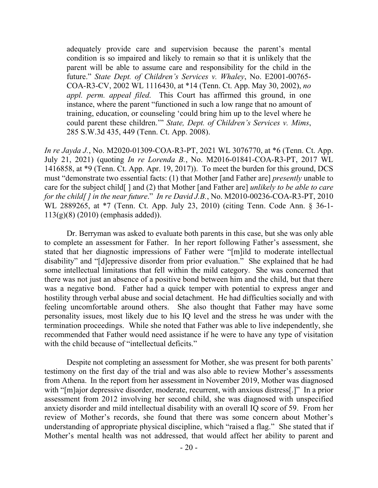adequately provide care and supervision because the parent's mental condition is so impaired and likely to remain so that it is unlikely that the parent will be able to assume care and responsibility for the child in the future." *State Dept. of Children's Services v. Whaley*, No. E2001-00765- COA-R3-CV, 2002 WL 1116430, at \*14 (Tenn. Ct. App. May 30, 2002), *no appl. perm. appeal filed*. This Court has affirmed this ground, in one instance, where the parent "functioned in such a low range that no amount of training, education, or counseling 'could bring him up to the level where he could parent these children.'" *State, Dept. of Children's Services v. Mims*, 285 S.W.3d 435, 449 (Tenn. Ct. App. 2008).

*In re Jayda J.*, No. M2020-01309-COA-R3-PT, 2021 WL 3076770, at \*6 (Tenn. Ct. App. July 21, 2021) (quoting *In re Lorenda B.*, No. M2016-01841-COA-R3-PT, 2017 WL 1416858, at \*9 (Tenn. Ct. App. Apr. 19, 2017)). To meet the burden for this ground, DCS must "demonstrate two essential facts: (1) that Mother [and Father are] *presently* unable to care for the subject child[ ] and (2) that Mother [and Father are] *unlikely to be able to care for the child[ ] in the near future*." *In re David J.B.*, No. M2010-00236-COA-R3-PT, 2010 WL 2889265, at \*7 (Tenn. Ct. App. July 23, 2010) (citing Tenn. Code Ann. § 36-1- 113(g)(8) (2010) (emphasis added)).

Dr. Berryman was asked to evaluate both parents in this case, but she was only able to complete an assessment for Father. In her report following Father's assessment, she stated that her diagnostic impressions of Father were "[m]ild to moderate intellectual disability" and "[d]epressive disorder from prior evaluation." She explained that he had some intellectual limitations that fell within the mild category. She was concerned that there was not just an absence of a positive bond between him and the child, but that there was a negative bond. Father had a quick temper with potential to express anger and hostility through verbal abuse and social detachment. He had difficulties socially and with feeling uncomfortable around others. She also thought that Father may have some personality issues, most likely due to his IQ level and the stress he was under with the termination proceedings. While she noted that Father was able to live independently, she recommended that Father would need assistance if he were to have any type of visitation with the child because of "intellectual deficits."

Despite not completing an assessment for Mother, she was present for both parents' testimony on the first day of the trial and was also able to review Mother's assessments from Athena. In the report from her assessment in November 2019, Mother was diagnosed with "[m]ajor depressive disorder, moderate, recurrent, with anxious distress[.]" In a prior assessment from 2012 involving her second child, she was diagnosed with unspecified anxiety disorder and mild intellectual disability with an overall IQ score of 59. From her review of Mother's records, she found that there was some concern about Mother's understanding of appropriate physical discipline, which "raised a flag." She stated that if Mother's mental health was not addressed, that would affect her ability to parent and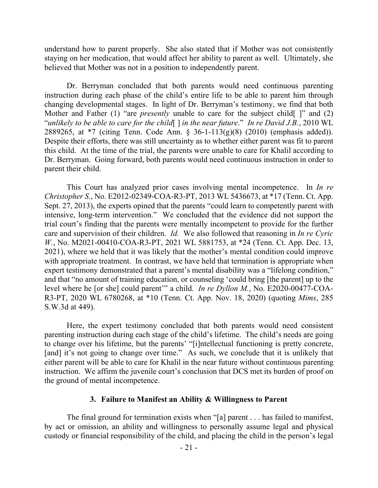understand how to parent properly. She also stated that if Mother was not consistently staying on her medication, that would affect her ability to parent as well. Ultimately, she believed that Mother was not in a position to independently parent.

Dr. Berryman concluded that both parents would need continuous parenting instruction during each phase of the child's entire life to be able to parent him through changing developmental stages. In light of Dr. Berryman's testimony, we find that both Mother and Father (1) "are *presently* unable to care for the subject child[ ]" and (2) "*unlikely to be able to care for the child*[ ] *in the near future*." *In re David J.B.*, 2010 WL 2889265, at \*7 (citing Tenn. Code Ann. § 36-1-113(g)(8) (2010) (emphasis added)). Despite their efforts, there was still uncertainty as to whether either parent was fit to parent this child. At the time of the trial, the parents were unable to care for Khalil according to Dr. Berryman. Going forward, both parents would need continuous instruction in order to parent their child.

This Court has analyzed prior cases involving mental incompetence. In *In re Christopher S.*, No. E2012-02349-COA-R3-PT, 2013 WL 5436673, at \*17 (Tenn. Ct. App. Sept. 27, 2013), the experts opined that the parents "could learn to competently parent with intensive, long-term intervention." We concluded that the evidence did not support the trial court's finding that the parents were mentally incompetent to provide for the further care and supervision of their children. *Id.* We also followed that reasoning in *In re Cyric W.*, No. M2021-00410-COA-R3-PT, 2021 WL 5881753, at \*24 (Tenn. Ct. App. Dec. 13, 2021), where we held that it was likely that the mother's mental condition could improve with appropriate treatment. In contrast, we have held that termination is appropriate when expert testimony demonstrated that a parent's mental disability was a "lifelong condition," and that "no amount of training education, or counseling 'could bring [the parent] up to the level where he [or she] could parent'" a child. *In re Dyllon M.*, No. E2020-00477-COA-R3-PT, 2020 WL 6780268, at \*10 (Tenn. Ct. App. Nov. 18, 2020) (quoting *Mims*, 285 S.W.3d at 449).

Here, the expert testimony concluded that both parents would need consistent parenting instruction during each stage of the child's lifetime. The child's needs are going to change over his lifetime, but the parents' "[i]ntellectual functioning is pretty concrete, [and] it's not going to change over time." As such, we conclude that it is unlikely that either parent will be able to care for Khalil in the near future without continuous parenting instruction. We affirm the juvenile court's conclusion that DCS met its burden of proof on the ground of mental incompetence.

#### **3. Failure to Manifest an Ability & Willingness to Parent**

The final ground for termination exists when "[a] parent . . . has failed to manifest, by act or omission, an ability and willingness to personally assume legal and physical custody or financial responsibility of the child, and placing the child in the person's legal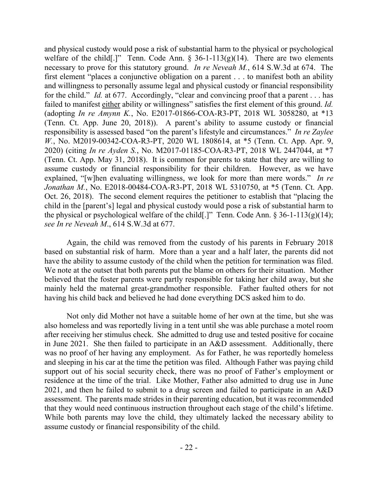and physical custody would pose a risk of substantial harm to the physical or psychological welfare of the child[.]" Tenn. Code Ann.  $\S$  36-1-113(g)(14). There are two elements necessary to prove for this statutory ground. *In re Neveah M.*, 614 S.W.3d at 674. The first element "places a conjunctive obligation on a parent . . . to manifest both an ability and willingness to personally assume legal and physical custody or financial responsibility for the child." *Id.* at 677. Accordingly, "clear and convincing proof that a parent . . . has failed to manifest either ability or willingness" satisfies the first element of this ground. *Id.*  (adopting *In re Amynn K.*, No. E2017-01866-COA-R3-PT, 2018 WL 3058280, at \*13 (Tenn. Ct. App. June 20, 2018)). A parent's ability to assume custody or financial responsibility is assessed based "on the parent's lifestyle and circumstances." *In re Zaylee W.*, No. M2019-00342-COA-R3-PT, 2020 WL 1808614, at \*5 (Tenn. Ct. App. Apr. 9, 2020) (citing *In re Ayden S.*, No. M2017-01185-COA-R3-PT, 2018 WL 2447044, at \*7 (Tenn. Ct. App. May 31, 2018). It is common for parents to state that they are willing to assume custody or financial responsibility for their children. However, as we have explained, "[w]hen evaluating willingness, we look for more than mere words." *In re Jonathan M.*, No. E2018-00484-COA-R3-PT, 2018 WL 5310750, at \*5 (Tenn. Ct. App. Oct. 26, 2018). The second element requires the petitioner to establish that "placing the child in the [parent's] legal and physical custody would pose a risk of substantial harm to the physical or psychological welfare of the child[.]" Tenn. Code Ann.  $\S 36-1-113(g)(14)$ ; *see In re Neveah M*., 614 S.W.3d at 677.

Again, the child was removed from the custody of his parents in February 2018 based on substantial risk of harm. More than a year and a half later, the parents did not have the ability to assume custody of the child when the petition for termination was filed. We note at the outset that both parents put the blame on others for their situation. Mother believed that the foster parents were partly responsible for taking her child away, but she mainly held the maternal great-grandmother responsible. Father faulted others for not having his child back and believed he had done everything DCS asked him to do.

Not only did Mother not have a suitable home of her own at the time, but she was also homeless and was reportedly living in a tent until she was able purchase a motel room after receiving her stimulus check. She admitted to drug use and tested positive for cocaine in June 2021. She then failed to participate in an A&D assessment. Additionally, there was no proof of her having any employment. As for Father, he was reportedly homeless and sleeping in his car at the time the petition was filed. Although Father was paying child support out of his social security check, there was no proof of Father's employment or residence at the time of the trial. Like Mother, Father also admitted to drug use in June 2021, and then he failed to submit to a drug screen and failed to participate in an A&D assessment. The parents made strides in their parenting education, but it was recommended that they would need continuous instruction throughout each stage of the child's lifetime. While both parents may love the child, they ultimately lacked the necessary ability to assume custody or financial responsibility of the child.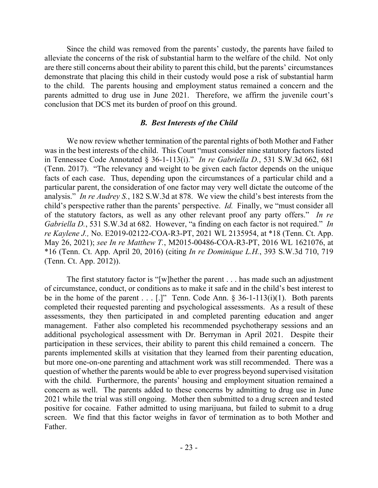Since the child was removed from the parents' custody, the parents have failed to alleviate the concerns of the risk of substantial harm to the welfare of the child. Not only are there still concerns about their ability to parent this child, but the parents' circumstances demonstrate that placing this child in their custody would pose a risk of substantial harm to the child. The parents housing and employment status remained a concern and the parents admitted to drug use in June 2021. Therefore, we affirm the juvenile court's conclusion that DCS met its burden of proof on this ground.

#### *B. Best Interests of the Child*

We now review whether termination of the parental rights of both Mother and Father was in the best interests of the child. This Court "must consider nine statutory factors listed in Tennessee Code Annotated § 36-1-113(i)." *In re Gabriella D.*, 531 S.W.3d 662, 681 (Tenn. 2017). "The relevancy and weight to be given each factor depends on the unique facts of each case. Thus, depending upon the circumstances of a particular child and a particular parent, the consideration of one factor may very well dictate the outcome of the analysis." *In re Audrey S.*, 182 S.W.3d at 878. We view the child's best interests from the child's perspective rather than the parents' perspective. *Id.* Finally, we "must consider all of the statutory factors, as well as any other relevant proof any party offers." *In re Gabriella D.*, 531 S.W.3d at 682. However, "a finding on each factor is not required." *In re Kaylene J.,* No. E2019-02122-COA-R3-PT, 2021 WL 2135954, at \*18 (Tenn. Ct. App. May 26, 2021); *see In re Matthew T.*, M2015-00486-COA-R3-PT, 2016 WL 1621076, at \*16 (Tenn. Ct. App. April 20, 2016) (citing *In re Dominique L.H.*, 393 S.W.3d 710, 719 (Tenn. Ct. App. 2012)).

The first statutory factor is "[w]hether the parent . . . has made such an adjustment of circumstance, conduct, or conditions as to make it safe and in the child's best interest to be in the home of the parent . . . [.]" Tenn. Code Ann.  $\S$  36-1-113(i)(1). Both parents completed their requested parenting and psychological assessments. As a result of these assessments, they then participated in and completed parenting education and anger management. Father also completed his recommended psychotherapy sessions and an additional psychological assessment with Dr. Berryman in April 2021. Despite their participation in these services, their ability to parent this child remained a concern. The parents implemented skills at visitation that they learned from their parenting education, but more one-on-one parenting and attachment work was still recommended. There was a question of whether the parents would be able to ever progress beyond supervised visitation with the child. Furthermore, the parents' housing and employment situation remained a concern as well. The parents added to these concerns by admitting to drug use in June 2021 while the trial was still ongoing. Mother then submitted to a drug screen and tested positive for cocaine. Father admitted to using marijuana, but failed to submit to a drug screen. We find that this factor weighs in favor of termination as to both Mother and Father.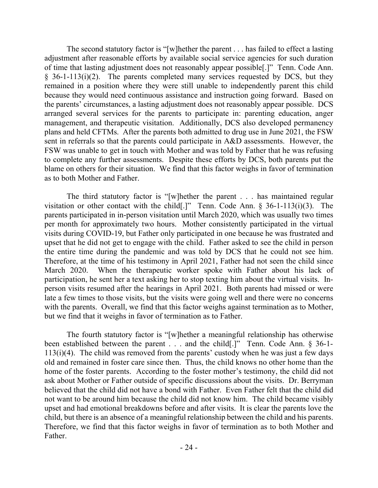The second statutory factor is "[w]hether the parent . . . has failed to effect a lasting adjustment after reasonable efforts by available social service agencies for such duration of time that lasting adjustment does not reasonably appear possible[.]" Tenn. Code Ann.  $§$  36-1-113(i)(2). The parents completed many services requested by DCS, but they remained in a position where they were still unable to independently parent this child because they would need continuous assistance and instruction going forward. Based on the parents' circumstances, a lasting adjustment does not reasonably appear possible. DCS arranged several services for the parents to participate in: parenting education, anger management, and therapeutic visitation. Additionally, DCS also developed permanency plans and held CFTMs. After the parents both admitted to drug use in June 2021, the FSW sent in referrals so that the parents could participate in A&D assessments. However, the FSW was unable to get in touch with Mother and was told by Father that he was refusing to complete any further assessments. Despite these efforts by DCS, both parents put the blame on others for their situation. We find that this factor weighs in favor of termination as to both Mother and Father.

The third statutory factor is "[w]hether the parent . . . has maintained regular visitation or other contact with the child[.]" Tenn. Code Ann. § 36-1-113(i)(3). The parents participated in in-person visitation until March 2020, which was usually two times per month for approximately two hours. Mother consistently participated in the virtual visits during COVID-19, but Father only participated in one because he was frustrated and upset that he did not get to engage with the child. Father asked to see the child in person the entire time during the pandemic and was told by DCS that he could not see him. Therefore, at the time of his testimony in April 2021, Father had not seen the child since March 2020. When the therapeutic worker spoke with Father about his lack of participation, he sent her a text asking her to stop texting him about the virtual visits. Inperson visits resumed after the hearings in April 2021. Both parents had missed or were late a few times to those visits, but the visits were going well and there were no concerns with the parents. Overall, we find that this factor weighs against termination as to Mother, but we find that it weighs in favor of termination as to Father.

The fourth statutory factor is "[w]hether a meaningful relationship has otherwise been established between the parent . . . and the child[.]" Tenn. Code Ann. § 36-1- 113(i)(4). The child was removed from the parents' custody when he was just a few days old and remained in foster care since then. Thus, the child knows no other home than the home of the foster parents. According to the foster mother's testimony, the child did not ask about Mother or Father outside of specific discussions about the visits. Dr. Berryman believed that the child did not have a bond with Father. Even Father felt that the child did not want to be around him because the child did not know him. The child became visibly upset and had emotional breakdowns before and after visits. It is clear the parents love the child, but there is an absence of a meaningful relationship between the child and his parents. Therefore, we find that this factor weighs in favor of termination as to both Mother and Father.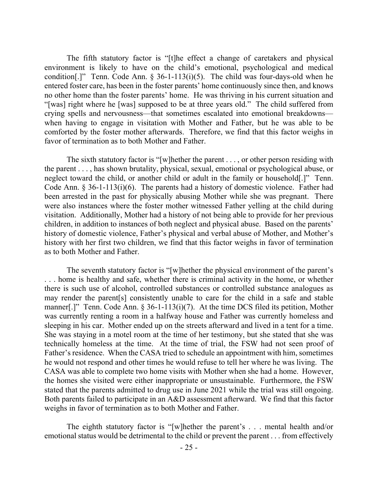The fifth statutory factor is "[t]he effect a change of caretakers and physical environment is likely to have on the child's emotional, psychological and medical condition[.]" Tenn. Code Ann.  $\S$  36-1-113(i)(5). The child was four-days-old when he entered foster care, has been in the foster parents' home continuously since then, and knows no other home than the foster parents' home. He was thriving in his current situation and "[was] right where he [was] supposed to be at three years old." The child suffered from crying spells and nervousness—that sometimes escalated into emotional breakdowns when having to engage in visitation with Mother and Father, but he was able to be comforted by the foster mother afterwards. Therefore, we find that this factor weighs in favor of termination as to both Mother and Father.

The sixth statutory factor is "[w]hether the parent  $\dots$ , or other person residing with the parent . . . , has shown brutality, physical, sexual, emotional or psychological abuse, or neglect toward the child, or another child or adult in the family or household[.]" Tenn. Code Ann. § 36-1-113(i)(6). The parents had a history of domestic violence. Father had been arrested in the past for physically abusing Mother while she was pregnant. There were also instances where the foster mother witnessed Father yelling at the child during visitation. Additionally, Mother had a history of not being able to provide for her previous children, in addition to instances of both neglect and physical abuse. Based on the parents' history of domestic violence, Father's physical and verbal abuse of Mother, and Mother's history with her first two children, we find that this factor weighs in favor of termination as to both Mother and Father.

The seventh statutory factor is "[w]hether the physical environment of the parent's . . . home is healthy and safe, whether there is criminal activity in the home, or whether there is such use of alcohol, controlled substances or controlled substance analogues as may render the parent[s] consistently unable to care for the child in a safe and stable manner[.]" Tenn. Code Ann. § 36-1-113(i)(7). At the time DCS filed its petition, Mother was currently renting a room in a halfway house and Father was currently homeless and sleeping in his car. Mother ended up on the streets afterward and lived in a tent for a time. She was staying in a motel room at the time of her testimony, but she stated that she was technically homeless at the time. At the time of trial, the FSW had not seen proof of Father's residence. When the CASA tried to schedule an appointment with him, sometimes he would not respond and other times he would refuse to tell her where he was living. The CASA was able to complete two home visits with Mother when she had a home. However, the homes she visited were either inappropriate or unsustainable. Furthermore, the FSW stated that the parents admitted to drug use in June 2021 while the trial was still ongoing. Both parents failed to participate in an A&D assessment afterward. We find that this factor weighs in favor of termination as to both Mother and Father.

The eighth statutory factor is "[w]hether the parent's . . . mental health and/or emotional status would be detrimental to the child or prevent the parent . . . from effectively